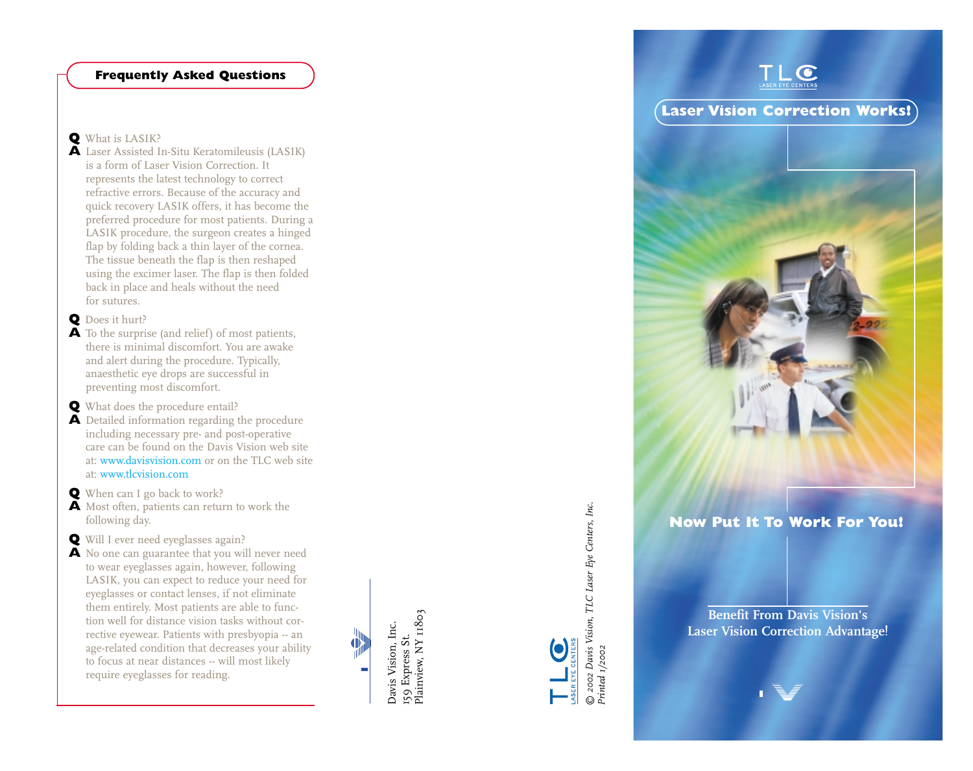## **Frequently Asked Questions**

### **Q** What is LASIK?

**A** Laser Assisted In-Situ Keratomileusis (LASIK) is a form of Laser Vision Correction. It represents the latest technology to correct refractive errors. Because of the accuracy and quick recovery LASIK offers, it has become the preferred procedure for most patients. During a LASIK procedure, the surgeon creates a hinged flap by folding back a thin layer of the cornea. The tissue beneath the flap is then reshaped using the excimer laser. The flap is then folded back in place and heals without the need for sutures.

### **Q** Does it hurt?

- **A** To the surprise (and relief) of most patients, there is minimal discomfort. You are awake and alert during the procedure. Typically, anaesthetic eye drops are successful in preventing most discomfort.
- **Q** What does the procedure entail?
- **A** Detailed information regarding the procedure including necessary pre- and post-operative care can be found on the Davis Vision web site at: www.davisvision.com or on the TLC web site at: www.tlcvision.com
- **Q** When can I go back to work?
- **A** Most often, patients can return to work the following day.
- **Q** Will I ever need eyeglasses again?
- **A** No one can guarantee that you will never need to wear eyeglasses again, however, following LASIK, you can expect to reduce your need for eyeglasses or contact lenses, if not eliminate them entirely. Most patients are able to function well for distance vision tasks without corrective eyewear. Patients with presbyopia -- an age-related condition that decreases your ability to focus at near distances -- will most likely require eyeglasses for reading.

159 Express St.<br>Plainview, NY 11803 Davis Vision, Inc. Davis Vision, Inc. 159 Express St. Œ,

Plainview, NY 11803



<u>– Leonie III.</u><br>© 2002 Davis Vision, TLC Laser Eye Centers, Inc.<br>Printed 1/2002 *© 2002 Davis Vision, TLC Laser Eye Centers, Inc. Printed 1/2002* 

**Benefit From Davis Vision's Laser Vision Correction Advantage!** 

**Now Put It To Work For You!** 



**Laser Vision Correction Works!** 

 $\bullet$